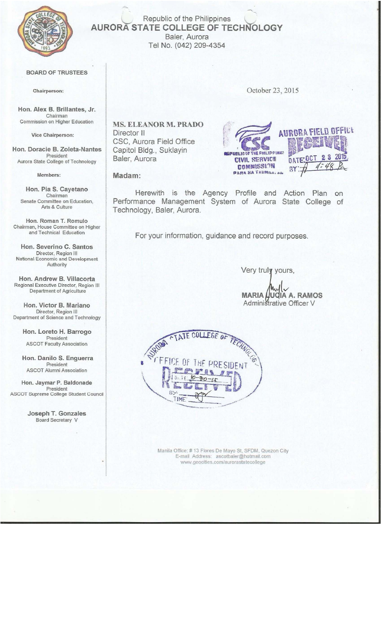

### Republic of the Philippines **AURORA STATE COLLEGE OF TECHNOLOGY** Baler, Aurora Tel No. (042) 209-4354

#### **BOARD OF TRUSTEES**

Chairperson:

Hon. Alex B. Brillantes, Jr. Chairman Commission on Higher Education

Vice Chairperson:

Hon. Doracie B. Zoleta-Nantes President Aurora State College of Technology

Members:

Hon. Pia S. Cayetano Chairman Senate Committee on Education, Arts & Culture

Hon. Roman T. Romulo Chairman, House Committee on Higher and Technical Education

Hon. Severino C. Santos Director, Region III National Economic and Development Authority

Hon. Andrew B. Villacorta<br>Regional Executive Director, Region III Department of Agriculture

Hon. Victor B. Mariano Director, Region III Department of Science and Technology

> Hon. Loreto H. Barrogo President **ASCOT Faculty Association**

Hon. Danilo S. Enguerra President ASCOT Alumni Association

Hon. Jaymar P. Baldonade President ASCOT Supreme College Student Council

> Joseph T. Gonzales Board Secretary V

MS. ELEANOR M. PRADO Director II CSC, Aurora Field Office



Madam:

Baler, Aurora

Capitol Bldg., Suklayin

Herewith is the Agency Profile and Action Plan on Performance Management System of Aurora State College of Technology, Baler, Aurora.

For your information, guidance and record purposes.

Very truly yours,

**JOIA A. RAMOS MARIA** Administrative Officer V



Manila Office: #13 Flores De Mayo St, SFDM, Quezon City<br>E-mail Address: ascotbaler@hotmail.com www.geocities.com/aurorastatecollege

October 23, 2015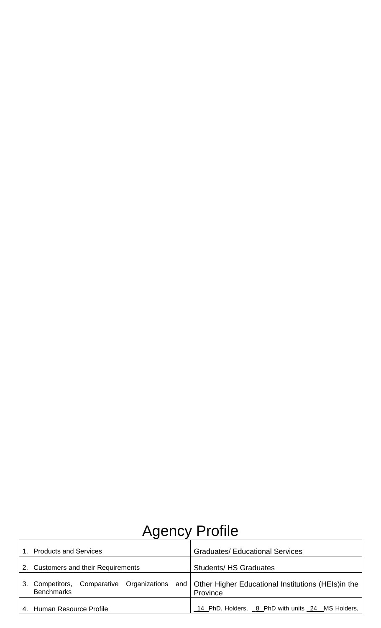# Agency Profile

| <b>Products and Services</b><br>$1_{-}$                           | <b>Graduates/ Educational Services</b>                                |  |
|-------------------------------------------------------------------|-----------------------------------------------------------------------|--|
| 2. Customers and their Requirements                               | <b>Students/HS Graduates</b>                                          |  |
| Competitors, Comparative Organizations<br>3.<br><b>Benchmarks</b> | and   Other Higher Educational Institutions (HEIs) in the<br>Province |  |
| 4. Human Resource Profile                                         | 14 PhD. Holders, 6 PhD with units 24 MS Holders,                      |  |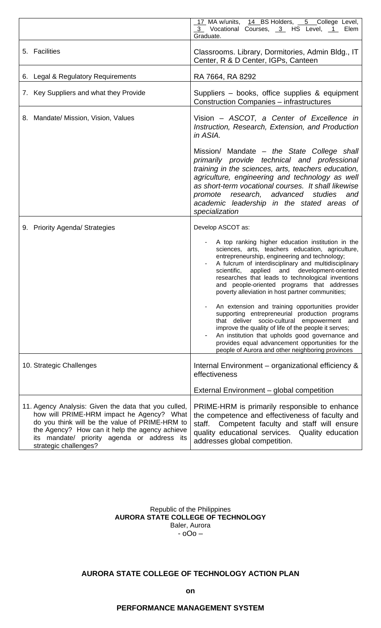|                                                                                                                                                                                                                                                                               | 17 MA w/units, 14 BS Holders, 5 College Level,<br>3 Vocational Courses, 3 HS Level, 1 Elem<br>Graduate.                                                                                                                                                                                                                                                                                                                   |
|-------------------------------------------------------------------------------------------------------------------------------------------------------------------------------------------------------------------------------------------------------------------------------|---------------------------------------------------------------------------------------------------------------------------------------------------------------------------------------------------------------------------------------------------------------------------------------------------------------------------------------------------------------------------------------------------------------------------|
| 5. Facilities                                                                                                                                                                                                                                                                 | Classrooms. Library, Dormitories, Admin Bldg., IT<br>Center, R & D Center, IGPs, Canteen                                                                                                                                                                                                                                                                                                                                  |
| 6. Legal & Regulatory Requirements                                                                                                                                                                                                                                            | RA 7664, RA 8292                                                                                                                                                                                                                                                                                                                                                                                                          |
| 7. Key Suppliers and what they Provide                                                                                                                                                                                                                                        | Suppliers – books, office supplies & equipment<br><b>Construction Companies – infrastructures</b>                                                                                                                                                                                                                                                                                                                         |
| 8. Mandate/ Mission, Vision, Values                                                                                                                                                                                                                                           | Vision – ASCOT, a Center of Excellence in<br>Instruction, Research, Extension, and Production<br>in ASIA.                                                                                                                                                                                                                                                                                                                 |
|                                                                                                                                                                                                                                                                               | Mission/ Mandate – the State College shall<br>primarily provide technical and professional<br>training in the sciences, arts, teachers education,<br>agriculture, engineering and technology as well<br>as short-term vocational courses. It shall likewise<br>promote research, advanced studies<br>and<br>academic leadership in the stated areas of<br>specialization                                                  |
| 9. Priority Agenda/ Strategies                                                                                                                                                                                                                                                | Develop ASCOT as:                                                                                                                                                                                                                                                                                                                                                                                                         |
|                                                                                                                                                                                                                                                                               | A top ranking higher education institution in the<br>sciences, arts, teachers education, agriculture,<br>entrepreneurship, engineering and technology;<br>A fulcrum of interdisciplinary and multidisciplinary<br>applied and development-oriented<br>scientific,<br>researches that leads to technological inventions<br>and people-oriented programs that addresses<br>poverty alleviation in host partner communities; |
|                                                                                                                                                                                                                                                                               | An extension and training opportunities provider<br>supporting entrepreneurial production programs<br>that deliver socio-cultural empowerment and<br>improve the quality of life of the people it serves;<br>An institution that upholds good governance and<br>provides equal advancement opportunities for the<br>people of Aurora and other neighboring provinces                                                      |
| 10. Strategic Challenges                                                                                                                                                                                                                                                      | Internal Environment – organizational efficiency &<br>effectiveness                                                                                                                                                                                                                                                                                                                                                       |
|                                                                                                                                                                                                                                                                               | External Environment – global competition                                                                                                                                                                                                                                                                                                                                                                                 |
| 11. Agency Analysis: Given the data that you culled,<br>how will PRIME-HRM impact he Agency? What<br>do you think will be the value of PRIME-HRM to<br>the Agency? How can it help the agency achieve<br>its mandate/ priority agenda or address its<br>strategic challenges? | PRIME-HRM is primarily responsible to enhance<br>the competence and effectiveness of faculty and<br>Competent faculty and staff will ensure<br>staff.<br>quality educational services. Quality education<br>addresses global competition.                                                                                                                                                                                 |

Republic of the Philippines **AURORA STATE COLLEGE OF TECHNOLOGY**  Baler, Aurora - oOo –

## **AURORA STATE COLLEGE OF TECHNOLOGY ACTION PLAN**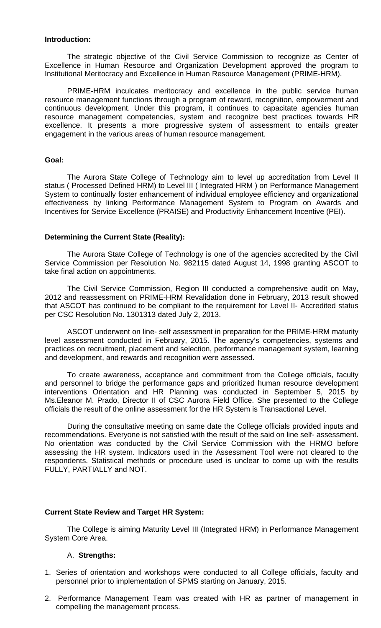#### **Introduction:**

The strategic objective of the Civil Service Commission to recognize as Center of Excellence in Human Resource and Organization Development approved the program to Institutional Meritocracy and Excellence in Human Resource Management (PRIME-HRM).

PRIME-HRM inculcates meritocracy and excellence in the public service human resource management functions through a program of reward, recognition, empowerment and continuous development. Under this program, it continues to capacitate agencies human resource management competencies, system and recognize best practices towards HR excellence. It presents a more progressive system of assessment to entails greater engagement in the various areas of human resource management.

#### **Goal:**

The Aurora State College of Technology aim to level up accreditation from Level II status ( Processed Defined HRM) to Level III ( Integrated HRM ) on Performance Management System to continually foster enhancement of individual employee efficiency and organizational effectiveness by linking Performance Management System to Program on Awards and Incentives for Service Excellence (PRAISE) and Productivity Enhancement Incentive (PEI).

#### **Determining the Current State (Reality):**

The Aurora State College of Technology is one of the agencies accredited by the Civil Service Commission per Resolution No. 982115 dated August 14, 1998 granting ASCOT to take final action on appointments.

The Civil Service Commission, Region III conducted a comprehensive audit on May, 2012 and reassessment on PRIME-HRM Revalidation done in February, 2013 result showed that ASCOT has continued to be compliant to the requirement for Level II- Accredited status per CSC Resolution No. 1301313 dated July 2, 2013.

ASCOT underwent on line- self assessment in preparation for the PRIME-HRM maturity level assessment conducted in February, 2015. The agency's competencies, systems and practices on recruitment, placement and selection, performance management system, learning and development, and rewards and recognition were assessed.

To create awareness, acceptance and commitment from the College officials, faculty and personnel to bridge the performance gaps and prioritized human resource development interventions Orientation and HR Planning was conducted in September 5, 2015 by Ms.Eleanor M. Prado, Director II of CSC Aurora Field Office. She presented to the College officials the result of the online assessment for the HR System is Transactional Level.

During the consultative meeting on same date the College officials provided inputs and recommendations. Everyone is not satisfied with the result of the said on line self- assessment. No orientation was conducted by the Civil Service Commission with the HRMO before assessing the HR system. Indicators used in the Assessment Tool were not cleared to the respondents. Statistical methods or procedure used is unclear to come up with the results FULLY, PARTIALLY and NOT.

#### **Current State Review and Target HR System:**

The College is aiming Maturity Level III (Integrated HRM) in Performance Management System Core Area.

#### A. **Strengths:**

- 1. Series of orientation and workshops were conducted to all College officials, faculty and personnel prior to implementation of SPMS starting on January, 2015.
- 2. Performance Management Team was created with HR as partner of management in compelling the management process.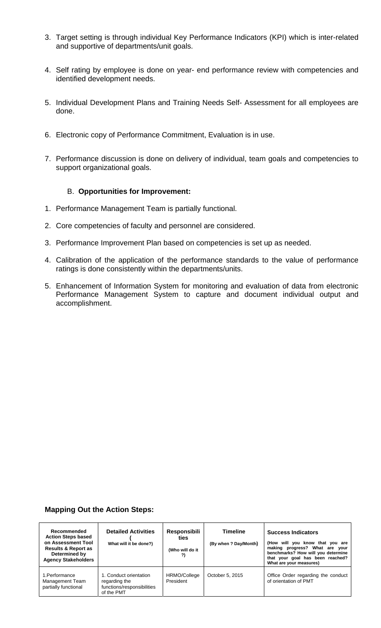- 3. Target setting is through individual Key Performance Indicators (KPI) which is inter-related and supportive of departments/unit goals.
- 4. Self rating by employee is done on year- end performance review with competencies and identified development needs.
- 5. Individual Development Plans and Training Needs Self- Assessment for all employees are done.
- 6. Electronic copy of Performance Commitment, Evaluation is in use.
- 7. Performance discussion is done on delivery of individual, team goals and competencies to support organizational goals.

#### B. **Opportunities for Improvement:**

- 1. Performance Management Team is partially functional.
- 2. Core competencies of faculty and personnel are considered.
- 3. Performance Improvement Plan based on competencies is set up as needed.
- 4. Calibration of the application of the performance standards to the value of performance ratings is done consistently within the departments/units.
- 5. Enhancement of Information System for monitoring and evaluation of data from electronic Performance Management System to capture and document individual output and accomplishment.

#### **Mapping Out the Action Steps:**

| Recommended<br><b>Action Steps based</b><br>on Assessment Tool<br><b>Results &amp; Report as</b><br>Determined by<br><b>Agency Stakeholders</b> | <b>Detailed Activities</b><br>What will it be done?)                                | <b>Responsibili</b><br>ties<br>(Who will do it<br>?) | <b>Timeline</b><br>(By when ? Day/Month) | <b>Success Indicators</b><br>(How will you know that you are<br>making progress? What are your<br>benchmarks? How will you determine<br>that your goal has been reached?<br>What are your measures) |
|-------------------------------------------------------------------------------------------------------------------------------------------------|-------------------------------------------------------------------------------------|------------------------------------------------------|------------------------------------------|-----------------------------------------------------------------------------------------------------------------------------------------------------------------------------------------------------|
| 1. Performance<br>Management Team<br>partially functional                                                                                       | 1. Conduct orientation<br>regarding the<br>functions/responsibilities<br>of the PMT | HRMO/College<br>President                            | October 5, 2015                          | Office Order regarding the conduct<br>of orientation of PMT                                                                                                                                         |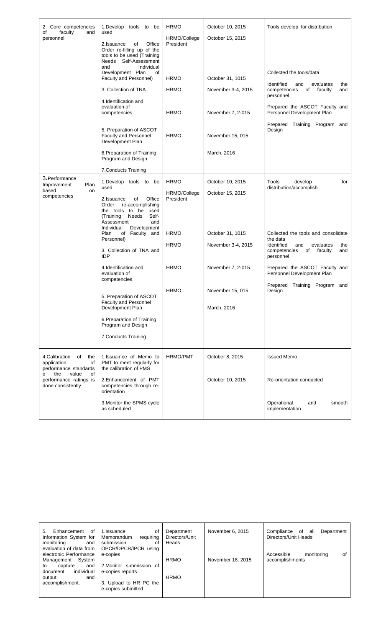| 2. Core competencies<br>faculty<br>of<br>and<br>personnel                                                                                     | 1.Develop tools to be<br>used<br>2.Issuance<br>Office<br>of<br>Order re-filling up of the<br>tools to be used (Training<br>Needs Self-Assessment | <b>HRMO</b><br>HRMO/College<br>President | October 10, 2015<br>October 15, 2015   | Tools develop for distribution                                                                                         |
|-----------------------------------------------------------------------------------------------------------------------------------------------|--------------------------------------------------------------------------------------------------------------------------------------------------|------------------------------------------|----------------------------------------|------------------------------------------------------------------------------------------------------------------------|
|                                                                                                                                               | Individual<br>and<br>Development Plan<br>of<br>Faculty and Personnel)<br>3. Collection of TNA                                                    | <b>HRMO</b><br><b>HRMO</b>               | October 31, 1015<br>November 3-4, 2015 | Collected the tools/data<br>Identified<br>evaluates<br>and<br>the<br>competencies<br>of<br>faculty<br>and<br>personnel |
|                                                                                                                                               | 4.Identification and<br>evaluation of<br>competencies                                                                                            | <b>HRMO</b>                              | November 7, 2-015                      | Prepared the ASCOT Faculty and<br>Personnel Development Plan                                                           |
|                                                                                                                                               | 5. Preparation of ASCOT<br>Faculty and Personnel<br>Development Plan                                                                             | <b>HRMO</b>                              | November 15, 015                       | Prepared Training Program and<br>Design                                                                                |
|                                                                                                                                               | 6. Preparation of Training<br>Program and Design                                                                                                 |                                          | March, 2016                            |                                                                                                                        |
|                                                                                                                                               | 7. Conducts Training                                                                                                                             |                                          |                                        |                                                                                                                        |
| 3.Performance<br>Plan                                                                                                                         | 1.Develop tools to<br>be                                                                                                                         | <b>HRMO</b>                              | October 10, 2015                       | Tools<br>develop<br>for                                                                                                |
| Improvement<br>based<br>on<br>competencies                                                                                                    | used<br>Office<br>2.Issuance<br>of                                                                                                               | HRMO/College<br>President                | October 15, 2015                       | distribution/accomplish                                                                                                |
|                                                                                                                                               | Order<br>re-accomplishing<br>the tools to be<br>used<br>Self-<br>(Training<br>Needs<br>Assessment<br>and<br>Individual<br>Development            |                                          |                                        |                                                                                                                        |
|                                                                                                                                               | Plan<br>of Faculty and                                                                                                                           | <b>HRMO</b>                              | October 31, 1015                       | Collected the tools and consolidate<br>the data                                                                        |
|                                                                                                                                               | Personnel)<br>3. Collection of TNA and<br><b>IDP</b>                                                                                             | <b>HRMO</b>                              | November 3-4, 2015                     | Identified<br>evaluates<br>and<br>the<br>competencies<br>of<br>faculty<br>and<br>personnel                             |
|                                                                                                                                               | 4.Identification and<br>evaluation of<br>competencies                                                                                            | <b>HRMO</b>                              | November 7, 2-015                      | Prepared the ASCOT Faculty and<br>Personnel Development Plan                                                           |
|                                                                                                                                               | 5. Preparation of ASCOT                                                                                                                          | <b>HRMO</b>                              | November 15, 015                       | Prepared Training Program and<br>Design                                                                                |
|                                                                                                                                               | Faculty and Personnel<br>Development Plan                                                                                                        |                                          | March, 2016                            |                                                                                                                        |
|                                                                                                                                               | 6. Preparation of Training<br>Program and Design                                                                                                 |                                          |                                        |                                                                                                                        |
|                                                                                                                                               | 7. Conducts Training                                                                                                                             |                                          |                                        |                                                                                                                        |
| 4.Calibration<br>of<br>the<br>application<br>of<br>performance standards<br>the<br>value<br>οf<br>performance ratings is<br>done consistently | 1. Issuamce of Memo to<br>PMT to meet regularly for<br>the calibration of PMS                                                                    | <b>HRMO/PMT</b>                          | October 8, 2015                        | <b>Issued Memo</b>                                                                                                     |
|                                                                                                                                               | 2. Enhancement of PMT<br>competencies through re-<br>orientation                                                                                 |                                          | October 10, 2015                       | Re-orientation conducted                                                                                               |
|                                                                                                                                               | 3. Monitor the SPMS cycle<br>as scheduled                                                                                                        |                                          |                                        | Operational<br>and<br>smooth<br>implementation                                                                         |

| of<br>Enhancement<br>5. | οf<br>1.Issuance         | Department     | November 6, 2015  | Compliance<br>of<br>Department<br>all |
|-------------------------|--------------------------|----------------|-------------------|---------------------------------------|
| Information System for  | requiring<br>Memorandum  | Directors/Unit |                   | Directors/Unit Heads                  |
| monitoring<br>and       | submission<br>Οf         | Heads          |                   |                                       |
| evaluation of data from | OPCR/DPCR/IPCR using     |                |                   |                                       |
| electronic Performance  | e-copies                 |                |                   | οf<br>Accessible<br>monitoring        |
| System<br>Management    |                          | <b>HRMO</b>    | November 18, 2015 | accomplishments                       |
| capture<br>to<br>and    | 2. Monitor submission of |                |                   |                                       |
| individual<br>document  | e-copies reports         |                |                   |                                       |
| and<br>output           |                          | <b>HRMO</b>    |                   |                                       |
| accomplishment.         | 3. Upload to HR PC the   |                |                   |                                       |
|                         | e-copies submitted       |                |                   |                                       |
|                         |                          |                |                   |                                       |